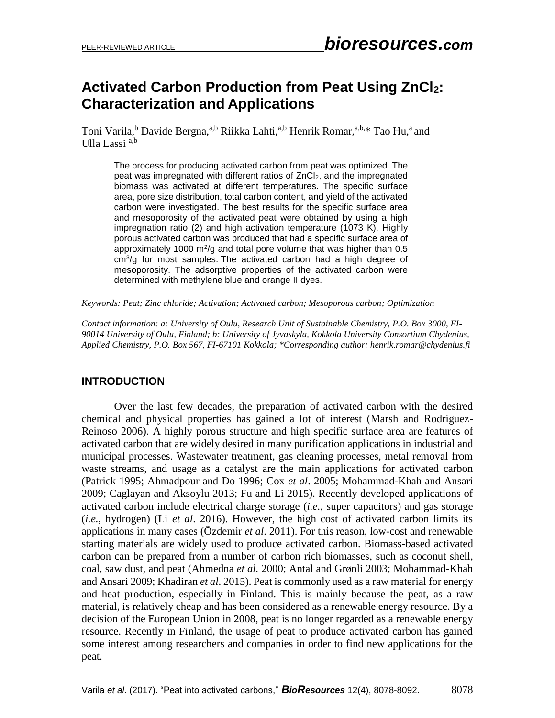# **Activated Carbon Production from Peat Using ZnCl2: Characterization and Applications**

Toni Varila, <sup>b</sup> Davide Bergna, <sup>a, b</sup> Riikka Lahti, <sup>a, b</sup> Henrik Romar, <sup>a, b, \*</sup> Tao Hu, <sup>a</sup> and Ulla Lassi  $a,b$ 

The process for producing activated carbon from peat was optimized. The peat was impregnated with different ratios of ZnCl2, and the impregnated biomass was activated at different temperatures. The specific surface area, pore size distribution, total carbon content, and yield of the activated carbon were investigated. The best results for the specific surface area and mesoporosity of the activated peat were obtained by using a high impregnation ratio (2) and high activation temperature (1073 K). Highly porous activated carbon was produced that had a specific surface area of approximately 1000  $\mathrm{m}^2/\mathrm{g}$  and total pore volume that was higher than 0.5 cm<sup>3</sup> /g for most samples. The activated carbon had a high degree of mesoporosity. The adsorptive properties of the activated carbon were determined with methylene blue and orange II dyes.

*Keywords: Peat; Zinc chloride; Activation; Activated carbon; Mesoporous carbon; Optimization*

*Contact information: a: University of Oulu, Research Unit of Sustainable Chemistry, P.O. Box 3000, FI-90014 University of Oulu, Finland; b: University of Jyvaskyla, Kokkola University Consortium Chydenius, Applied Chemistry, P.O. Box 567, FI-67101 Kokkola; \*Corresponding author: henrik.romar@chydenius.fi*

# **INTRODUCTION**

Over the last few decades, the preparation of activated carbon with the desired chemical and physical properties has gained a lot of interest (Marsh and Rodríguez-Reinoso 2006). A highly porous structure and high specific surface area are features of activated carbon that are widely desired in many purification applications in industrial and municipal processes. Wastewater treatment, gas cleaning processes, metal removal from waste streams, and usage as a catalyst are the main applications for activated carbon (Patrick 1995; Ahmadpour and Do 1996; Cox *et al*. 2005; Mohammad-Khah and Ansari 2009; Caglayan and Aksoylu 2013; Fu and Li 2015). Recently developed applications of activated carbon include electrical charge storage (*i.e.*, super capacitors) and gas storage (*i.e.*, hydrogen) (Li *et al*. 2016). However, the high cost of activated carbon limits its applications in many cases (Özdemir *et al*. 2011). For this reason, low-cost and renewable starting materials are widely used to produce activated carbon. Biomass-based activated carbon can be prepared from a number of carbon rich biomasses, such as coconut shell, coal, saw dust, and peat (Ahmedna *et al.* 2000; Antal and Grønli 2003; Mohammad-Khah and Ansari 2009; Khadiran *et al*. 2015). Peat is commonly used as a raw material for energy and heat production, especially in Finland. This is mainly because the peat, as a raw material, is relatively cheap and has been considered as a renewable energy resource. By a decision of the European Union in 2008, peat is no longer regarded as a renewable energy resource. Recently in Finland, the usage of peat to produce activated carbon has gained some interest among researchers and companies in order to find new applications for the peat.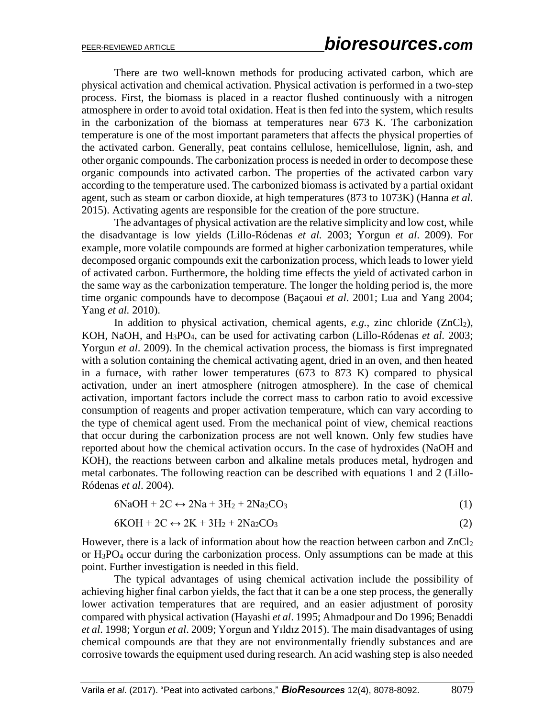There are two well-known methods for producing activated carbon, which are physical activation and chemical activation. Physical activation is performed in a two-step process. First, the biomass is placed in a reactor flushed continuously with a nitrogen atmosphere in order to avoid total oxidation. Heat is then fed into the system, which results in the carbonization of the biomass at temperatures near 673 K. The carbonization temperature is one of the most important parameters that affects the physical properties of the activated carbon. Generally, peat contains cellulose, hemicellulose, lignin, ash, and other organic compounds. The carbonization process is needed in order to decompose these organic compounds into activated carbon. The properties of the activated carbon vary according to the temperature used. The carbonized biomass is activated by a partial oxidant agent, such as steam or carbon dioxide, at high temperatures (873 to 1073K) (Hanna *et al.* 2015). Activating agents are responsible for the creation of the pore structure.

The advantages of physical activation are the relative simplicity and low cost, while the disadvantage is low yields (Lillo-Ródenas *et al.* 2003; Yorgun *et al*. 2009). For example, more volatile compounds are formed at higher carbonization temperatures, while decomposed organic compounds exit the carbonization process, which leads to lower yield of activated carbon. Furthermore, the holding time effects the yield of activated carbon in the same way as the carbonization temperature. The longer the holding period is, the more time organic compounds have to decompose (Baçaoui *et al*. 2001; Lua and Yang 2004; Yang *et al.* 2010).

In addition to physical activation, chemical agents,  $e.g.,$  zinc chloride  $(ZnCl<sub>2</sub>)$ , KOH, NaOH, and H3PO4, can be used for activating carbon (Lillo-Ródenas *et al.* 2003; Yorgun *et al*. 2009). In the chemical activation process, the biomass is first impregnated with a solution containing the chemical activating agent, dried in an oven, and then heated in a furnace, with rather lower temperatures (673 to 873 K) compared to physical activation, under an inert atmosphere (nitrogen atmosphere). In the case of chemical activation, important factors include the correct mass to carbon ratio to avoid excessive consumption of reagents and proper activation temperature, which can vary according to the type of chemical agent used. From the mechanical point of view, chemical reactions that occur during the carbonization process are not well known. Only few studies have reported about how the chemical activation occurs. In the case of hydroxides (NaOH and KOH), the reactions between carbon and alkaline metals produces metal, hydrogen and metal carbonates. The following reaction can be described with equations 1 and 2 (Lillo-Ródenas *et al*. 2004).

$$
6NaOH + 2C \leftrightarrow 2Na + 3H_2 + 2Na_2CO_3 \tag{1}
$$

$$
6KOH + 2C \leftrightarrow 2K + 3H_2 + 2Na_2CO_3 \tag{2}
$$

However, there is a lack of information about how the reaction between carbon and  $ZnCl<sub>2</sub>$ or H3PO<sup>4</sup> occur during the carbonization process. Only assumptions can be made at this point. Further investigation is needed in this field.

The typical advantages of using chemical activation include the possibility of achieving higher final carbon yields, the fact that it can be a one step process, the generally lower activation temperatures that are required, and an easier adjustment of porosity compared with physical activation (Hayashi *et al*. 1995; Ahmadpour and Do 1996; Benaddi *et al*. 1998; Yorgun *et al*. 2009; Yorgun and Yıldız 2015). The main disadvantages of using chemical compounds are that they are not environmentally friendly substances and are corrosive towards the equipment used during research. An acid washing step is also needed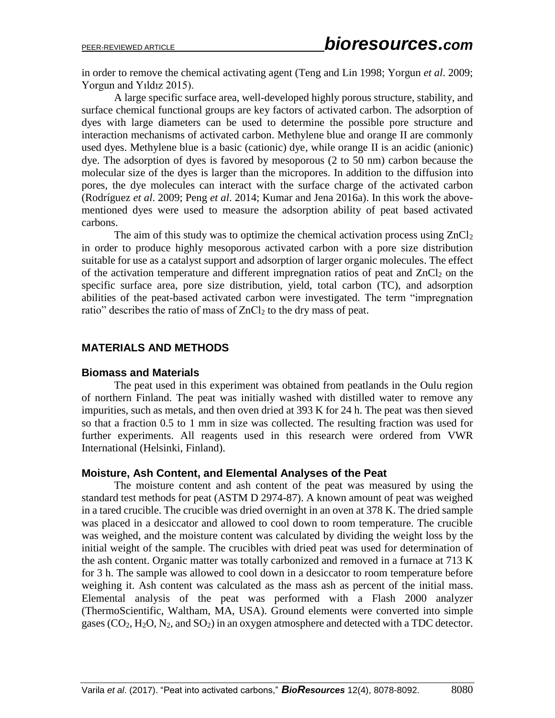in order to remove the chemical activating agent (Teng and Lin 1998; Yorgun *et al*. 2009; Yorgun and Yıldız 2015).

A large specific surface area, well-developed highly porous structure, stability, and surface chemical functional groups are key factors of activated carbon. The adsorption of dyes with large diameters can be used to determine the possible pore structure and interaction mechanisms of activated carbon. Methylene blue and orange II are commonly used dyes. Methylene blue is a basic (cationic) dye, while orange II is an acidic (anionic) dye. The adsorption of dyes is favored by mesoporous (2 to 50 nm) carbon because the molecular size of the dyes is larger than the micropores. In addition to the diffusion into pores, the dye molecules can interact with the surface charge of the activated carbon (Rodríguez *et al*. 2009; Peng *et al*. 2014; Kumar and Jena 2016a). In this work the abovementioned dyes were used to measure the adsorption ability of peat based activated carbons.

The aim of this study was to optimize the chemical activation process using  $ZnCl<sub>2</sub>$ in order to produce highly mesoporous activated carbon with a pore size distribution suitable for use as a catalyst support and adsorption of larger organic molecules. The effect of the activation temperature and different impregnation ratios of peat and  $ZnCl<sub>2</sub>$  on the specific surface area, pore size distribution, yield, total carbon (TC), and adsorption abilities of the peat-based activated carbon were investigated. The term "impregnation ratio" describes the ratio of mass of  $ZnCl<sub>2</sub>$  to the dry mass of peat.

# **MATERIALS AND METHODS**

## **Biomass and Materials**

The peat used in this experiment was obtained from peatlands in the Oulu region of northern Finland. The peat was initially washed with distilled water to remove any impurities, such as metals, and then oven dried at 393 K for 24 h. The peat was then sieved so that a fraction 0.5 to 1 mm in size was collected. The resulting fraction was used for further experiments. All reagents used in this research were ordered from VWR International (Helsinki, Finland).

## **Moisture, Ash Content, and Elemental Analyses of the Peat**

The moisture content and ash content of the peat was measured by using the standard test methods for peat (ASTM D 2974-87). A known amount of peat was weighed in a tared crucible. The crucible was dried overnight in an oven at 378 K. The dried sample was placed in a desiccator and allowed to cool down to room temperature. The crucible was weighed, and the moisture content was calculated by dividing the weight loss by the initial weight of the sample. The crucibles with dried peat was used for determination of the ash content. Organic matter was totally carbonized and removed in a furnace at 713 K for 3 h. The sample was allowed to cool down in a desiccator to room temperature before weighing it. Ash content was calculated as the mass ash as percent of the initial mass. Elemental analysis of the peat was performed with a Flash 2000 analyzer (ThermoScientific, Waltham, MA, USA). Ground elements were converted into simple gases  $(CO_2, H_2O, N_2,$  and  $SO_2$ ) in an oxygen atmosphere and detected with a TDC detector.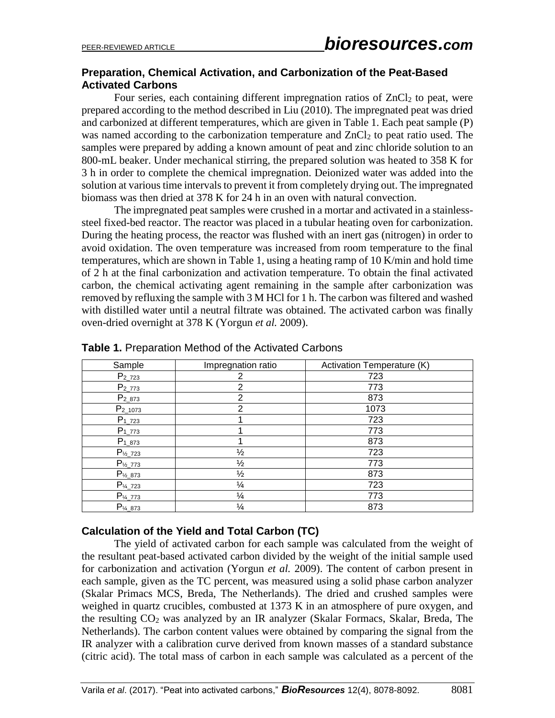# **Preparation, Chemical Activation, and Carbonization of the Peat-Based Activated Carbons**

Four series, each containing different impregnation ratios of  $ZnCl<sub>2</sub>$  to peat, were prepared according to the method described in Liu (2010). The impregnated peat was dried and carbonized at different temperatures, which are given in Table 1. Each peat sample (P) was named according to the carbonization temperature and  $ZnCl<sub>2</sub>$  to peat ratio used. The samples were prepared by adding a known amount of peat and zinc chloride solution to an 800-mL beaker. Under mechanical stirring, the prepared solution was heated to 358 K for 3 h in order to complete the chemical impregnation. Deionized water was added into the solution at various time intervals to prevent it from completely drying out. The impregnated biomass was then dried at 378 K for 24 h in an oven with natural convection.

The impregnated peat samples were crushed in a mortar and activated in a stainlesssteel fixed-bed reactor. The reactor was placed in a tubular heating oven for carbonization. During the heating process, the reactor was flushed with an inert gas (nitrogen) in order to avoid oxidation. The oven temperature was increased from room temperature to the final temperatures, which are shown in Table 1, using a heating ramp of 10 K/min and hold time of 2 h at the final carbonization and activation temperature. To obtain the final activated carbon, the chemical activating agent remaining in the sample after carbonization was removed by refluxing the sample with 3 M HCl for 1 h. The carbon was filtered and washed with distilled water until a neutral filtrate was obtained. The activated carbon was finally oven-dried overnight at 378 K (Yorgun *et al.* 2009).

| Sample                | Impregnation ratio | Activation Temperature (K) |
|-----------------------|--------------------|----------------------------|
| $P_{2_723}$           | 2                  | 723                        |
| $P_{2773}$            | $\overline{2}$     | 773                        |
| $P_{2_873}$           | $\overline{2}$     | 873                        |
| $P_{2_1073}$          | 2                  | 1073                       |
| $P_{1,723}$           |                    | 723                        |
| $P_{1_773}$           |                    | 773                        |
| $P_{1_873}$           |                    | 873                        |
| $P_{\frac{1}{2}}$ 723 | $\frac{1}{2}$      | 723                        |
| $P_{\frac{1}{2}}$ 773 | $\frac{1}{2}$      | 773                        |
| $P_{\frac{1}{2}}$ 873 | $\frac{1}{2}$      | 873                        |
| $P_{\frac{1}{4}723}$  | $\frac{1}{4}$      | 723                        |
| $P_{\frac{1}{4}}$ 773 | $\frac{1}{4}$      | 773                        |
| $P_{\frac{1}{4}}$ 873 | $\frac{1}{4}$      | 873                        |

**Table 1.** Preparation Method of the Activated Carbons

## **Calculation of the Yield and Total Carbon (TC)**

The yield of activated carbon for each sample was calculated from the weight of the resultant peat-based activated carbon divided by the weight of the initial sample used for carbonization and activation (Yorgun *et al.* 2009). The content of carbon present in each sample, given as the TC percent, was measured using a solid phase carbon analyzer (Skalar Primacs MCS, Breda, The Netherlands). The dried and crushed samples were weighed in quartz crucibles, combusted at 1373 K in an atmosphere of pure oxygen, and the resulting  $CO<sub>2</sub>$  was analyzed by an IR analyzer (Skalar Formacs, Skalar, Breda, The Netherlands). The carbon content values were obtained by comparing the signal from the IR analyzer with a calibration curve derived from known masses of a standard substance (citric acid). The total mass of carbon in each sample was calculated as a percent of the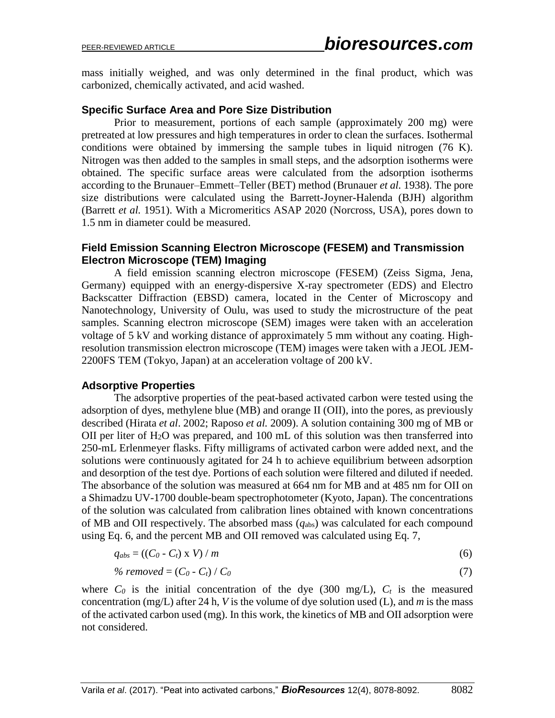mass initially weighed, and was only determined in the final product, which was carbonized, chemically activated, and acid washed.

## **Specific Surface Area and Pore Size Distribution**

Prior to measurement, portions of each sample (approximately 200 mg) were pretreated at low pressures and high temperatures in order to clean the surfaces. Isothermal conditions were obtained by immersing the sample tubes in liquid nitrogen (76 K). Nitrogen was then added to the samples in small steps, and the adsorption isotherms were obtained. The specific surface areas were calculated from the adsorption isotherms according to the Brunauer–Emmett–Teller (BET) method (Brunauer *et al.* 1938). The pore size distributions were calculated using the Barrett-Joyner-Halenda (BJH) algorithm (Barrett *et al.* 1951). With a Micromeritics ASAP 2020 (Norcross, USA), pores down to 1.5 nm in diameter could be measured.

## **Field Emission Scanning Electron Microscope (FESEM) and Transmission Electron Microscope (TEM) Imaging**

A field emission scanning electron microscope (FESEM) (Zeiss Sigma, Jena, Germany) equipped with an energy-dispersive X-ray spectrometer (EDS) and Electro Backscatter Diffraction (EBSD) camera, located in the Center of Microscopy and Nanotechnology, University of Oulu, was used to study the microstructure of the peat samples. Scanning electron microscope (SEM) images were taken with an acceleration voltage of 5 kV and working distance of approximately 5 mm without any coating. Highresolution transmission electron microscope (TEM) images were taken with a JEOL JEM-2200FS TEM (Tokyo, Japan) at an acceleration voltage of 200 kV.

## **Adsorptive Properties**

The adsorptive properties of the peat-based activated carbon were tested using the adsorption of dyes, methylene blue (MB) and orange II (OII), into the pores, as previously described (Hirata *et al*. 2002; Raposo *et al.* 2009). A solution containing 300 mg of MB or OII per liter of  $H_2O$  was prepared, and 100 mL of this solution was then transferred into 250-mL Erlenmeyer flasks. Fifty milligrams of activated carbon were added next, and the solutions were continuously agitated for 24 h to achieve equilibrium between adsorption and desorption of the test dye. Portions of each solution were filtered and diluted if needed. The absorbance of the solution was measured at 664 nm for MB and at 485 nm for OII on a Shimadzu UV-1700 double-beam spectrophotometer (Kyoto, Japan). The concentrations of the solution was calculated from calibration lines obtained with known concentrations of MB and OII respectively. The absorbed mass (*q*abs) was calculated for each compound using Eq. 6, and the percent MB and OII removed was calculated using Eq. 7,

$$
q_{abs} = ((C_0 - C_t) \times V) / m \tag{6}
$$

% removed = 
$$
(C_0 - C_t) / C_0
$$
 (7)

where  $C_0$  is the initial concentration of the dye (300 mg/L),  $C_t$  is the measured concentration (mg/L) after 24 h, *V* is the volume of dye solution used (L), and *m* is the mass of the activated carbon used (mg). In this work, the kinetics of MB and OII adsorption were not considered.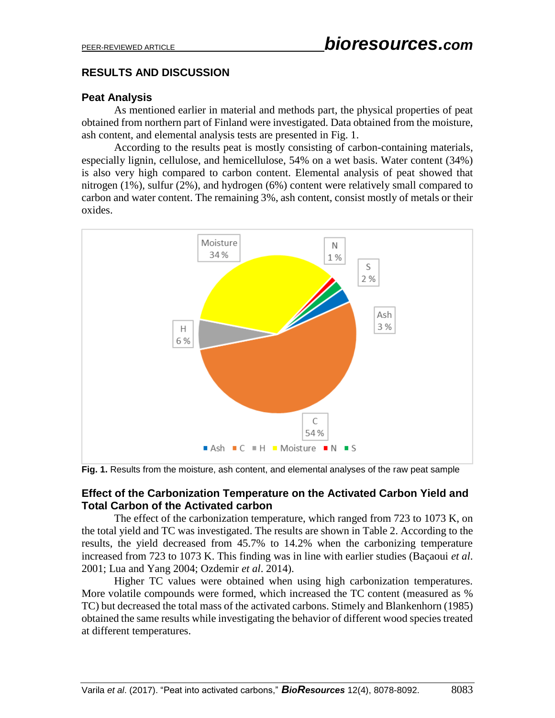# **RESULTS AND DISCUSSION**

# **Peat Analysis**

As mentioned earlier in material and methods part, the physical properties of peat obtained from northern part of Finland were investigated. Data obtained from the moisture, ash content, and elemental analysis tests are presented in Fig. 1.

According to the results peat is mostly consisting of carbon-containing materials, especially lignin, cellulose, and hemicellulose, 54% on a wet basis. Water content (34%) is also very high compared to carbon content. Elemental analysis of peat showed that nitrogen (1%), sulfur (2%), and hydrogen (6%) content were relatively small compared to carbon and water content. The remaining 3%, ash content, consist mostly of metals or their oxides.



**Fig. 1.** Results from the moisture, ash content, and elemental analyses of the raw peat sample

## **Effect of the Carbonization Temperature on the Activated Carbon Yield and Total Carbon of the Activated carbon**

The effect of the carbonization temperature, which ranged from 723 to 1073 K, on the total yield and TC was investigated. The results are shown in Table 2. According to the results, the yield decreased from 45.7% to 14.2% when the carbonizing temperature increased from 723 to 1073 K. This finding was in line with earlier studies (Baçaoui *et al*. 2001; Lua and Yang 2004; Ozdemir *et al*. 2014).

Higher TC values were obtained when using high carbonization temperatures. More volatile compounds were formed, which increased the TC content (measured as % TC) but decreased the total mass of the activated carbons. Stimely and Blankenhorn (1985) obtained the same results while investigating the behavior of different wood species treated at different temperatures.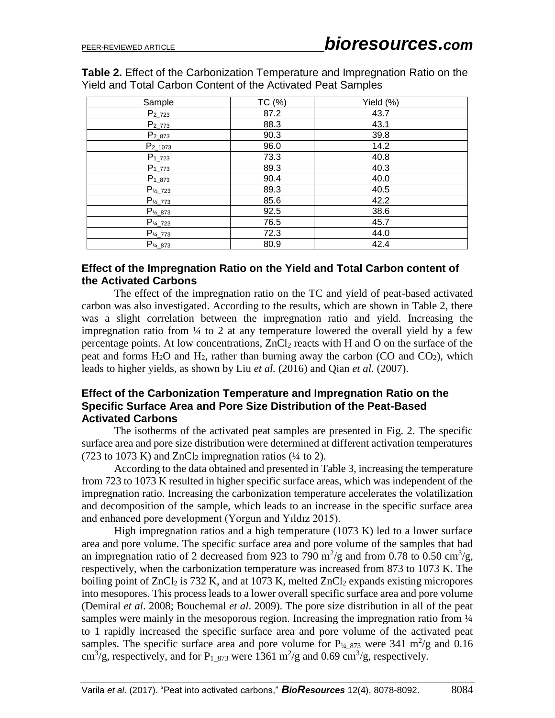**Table 2.** Effect of the Carbonization Temperature and Impregnation Ratio on the Yield and Total Carbon Content of the Activated Peat Samples

| Sample                | TC (%) | Yield (%) |
|-----------------------|--------|-----------|
| $P_{2723}$            | 87.2   | 43.7      |
| $P_{2773}$            | 88.3   | 43.1      |
| $P_{2_873}$           | 90.3   | 39.8      |
| $P_{2_1073}$          | 96.0   | 14.2      |
| $P_{1_723}$           | 73.3   | 40.8      |
| $P_{1_773}$           | 89.3   | 40.3      |
| $P_{1_873}$           | 90.4   | 40.0      |
| $P_{\frac{1}{2}}$ 723 | 89.3   | 40.5      |
| $P_{\frac{1}{2}773}$  | 85.6   | 42.2      |
| $P_{\frac{1}{2}}$ 873 | 92.5   | 38.6      |
| $P_{\frac{1}{4}723}$  | 76.5   | 45.7      |
| $P_{\frac{1}{4}773}$  | 72.3   | 44.0      |
| $P_{\frac{1}{4}}$ 873 | 80.9   | 42.4      |

## **Effect of the Impregnation Ratio on the Yield and Total Carbon content of the Activated Carbons**

The effect of the impregnation ratio on the TC and yield of peat-based activated carbon was also investigated. According to the results, which are shown in Table 2, there was a slight correlation between the impregnation ratio and yield. Increasing the impregnation ratio from ¼ to 2 at any temperature lowered the overall yield by a few percentage points. At low concentrations,  $ZnCl<sub>2</sub>$  reacts with H and O on the surface of the peat and forms  $H_2O$  and  $H_2$ , rather than burning away the carbon (CO and CO<sub>2</sub>), which leads to higher yields, as shown by Liu *et al.* (2016) and Qian *et al.* (2007).

## **Effect of the Carbonization Temperature and Impregnation Ratio on the Specific Surface Area and Pore Size Distribution of the Peat-Based Activated Carbons**

The isotherms of the activated peat samples are presented in Fig. 2. The specific surface area and pore size distribution were determined at different activation temperatures (723 to 1073 K) and  $ZnCl<sub>2</sub>$  impregnation ratios ( $\frac{1}{4}$  to 2).

According to the data obtained and presented in Table 3, increasing the temperature from 723 to 1073 K resulted in higher specific surface areas, which was independent of the impregnation ratio. Increasing the carbonization temperature accelerates the volatilization and decomposition of the sample, which leads to an increase in the specific surface area and enhanced pore development (Yorgun and Yıldız 2015).

High impregnation ratios and a high temperature (1073 K) led to a lower surface area and pore volume. The specific surface area and pore volume of the samples that had an impregnation ratio of 2 decreased from 923 to 790 m<sup>2</sup>/g and from 0.78 to 0.50 cm<sup>3</sup>/g, respectively, when the carbonization temperature was increased from 873 to 1073 K. The boiling point of  $ZnCl<sub>2</sub>$  is 732 K, and at 1073 K, melted  $ZnCl<sub>2</sub>$  expands existing micropores into mesopores. This process leads to a lower overall specific surface area and pore volume (Demiral *et al*. 2008; Bouchemal *et al*. 2009). The pore size distribution in all of the peat samples were mainly in the mesoporous region. Increasing the impregnation ratio from  $\frac{1}{4}$ to 1 rapidly increased the specific surface area and pore volume of the activated peat samples. The specific surface area and pore volume for  $P_{\frac{1}{4}873}$  were 341 m<sup>2</sup>/g and 0.16 cm<sup>3</sup>/g, respectively, and for P<sub>1\_873</sub> were 1361 m<sup>2</sup>/g and 0.69 cm<sup>3</sup>/g, respectively.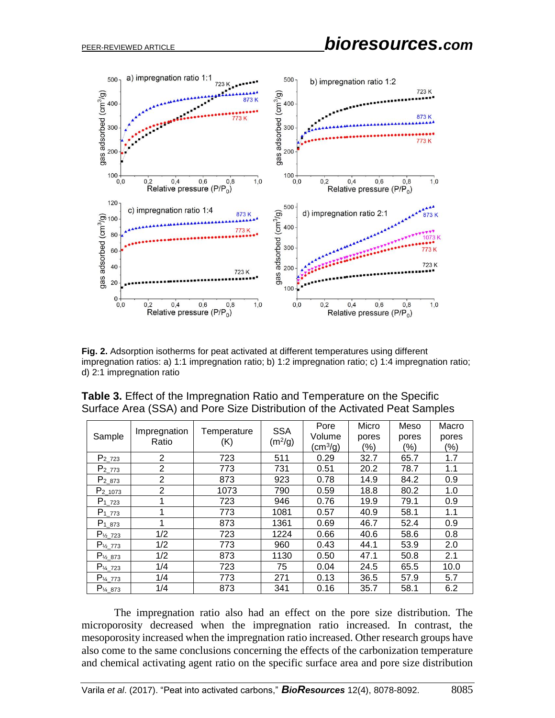

**Fig. 2.** Adsorption isotherms for peat activated at different temperatures using different impregnation ratios: a) 1:1 impregnation ratio; b) 1:2 impregnation ratio; c) 1:4 impregnation ratio; d) 2:1 impregnation ratio

| Sample                | Impregnation<br>Ratio | Temperature<br>(K) | <b>SSA</b><br>(m <sup>2</sup> /g) | Pore<br>Volume<br>$\text{(cm}^3\text{/g)}$ | Micro<br>pores<br>(%) | Meso<br>pores<br>$(\% )$ | Macro<br>pores<br>$(\% )$ |
|-----------------------|-----------------------|--------------------|-----------------------------------|--------------------------------------------|-----------------------|--------------------------|---------------------------|
| $P_{2_723}$           | 2                     | 723                | 511                               | 0.29                                       | 32.7                  | 65.7                     | 1.7                       |
| $P_{2_773}$           | 2                     | 773                | 731                               | 0.51                                       | 20.2                  | 78.7                     | 1.1                       |
| P <sub>2</sub> 873    | 2                     | 873                | 923                               | 0.78                                       | 14.9                  | 84.2                     | 0.9                       |
| P <sub>2</sub> 1073   | 2                     | 1073               | 790                               | 0.59                                       | 18.8                  | 80.2                     | 1.0                       |
| P <sub>1</sub> 723    | 1                     | 723                | 946                               | 0.76                                       | 19.9                  | 79.1                     | 0.9                       |
| $P_{1,773}$           | 1                     | 773                | 1081                              | 0.57                                       | 40.9                  | 58.1                     | 1.1                       |
| $P_{1_873}$           | 1                     | 873                | 1361                              | 0.69                                       | 46.7                  | 52.4                     | 0.9                       |
| $P_{\frac{1}{2}}$ 723 | 1/2                   | 723                | 1224                              | 0.66                                       | 40.6                  | 58.6                     | 0.8                       |
| $P_{\frac{1}{2}}$ 773 | 1/2                   | 773                | 960                               | 0.43                                       | 44.1                  | 53.9                     | 2.0                       |
| $P_{\frac{1}{2}}$ 873 | 1/2                   | 873                | 1130                              | 0.50                                       | 47.1                  | 50.8                     | 2.1                       |
| $P_{\frac{1}{4}}$ 723 | 1/4                   | 723                | 75                                | 0.04                                       | 24.5                  | 65.5                     | 10.0                      |
| $P_{\frac{1}{4}}$ 773 | 1/4                   | 773                | 271                               | 0.13                                       | 36.5                  | 57.9                     | 5.7                       |
| $P_{\frac{1}{4}}$ 873 | 1/4                   | 873                | 341                               | 0.16                                       | 35.7                  | 58.1                     | 6.2                       |

| <b>Table 3.</b> Effect of the Impregnation Ratio and Temperature on the Specific |  |
|----------------------------------------------------------------------------------|--|
| Surface Area (SSA) and Pore Size Distribution of the Activated Peat Samples      |  |

The impregnation ratio also had an effect on the pore size distribution. The microporosity decreased when the impregnation ratio increased. In contrast, the mesoporosity increased when the impregnation ratio increased. Other research groups have also come to the same conclusions concerning the effects of the carbonization temperature and chemical activating agent ratio on the specific surface area and pore size distribution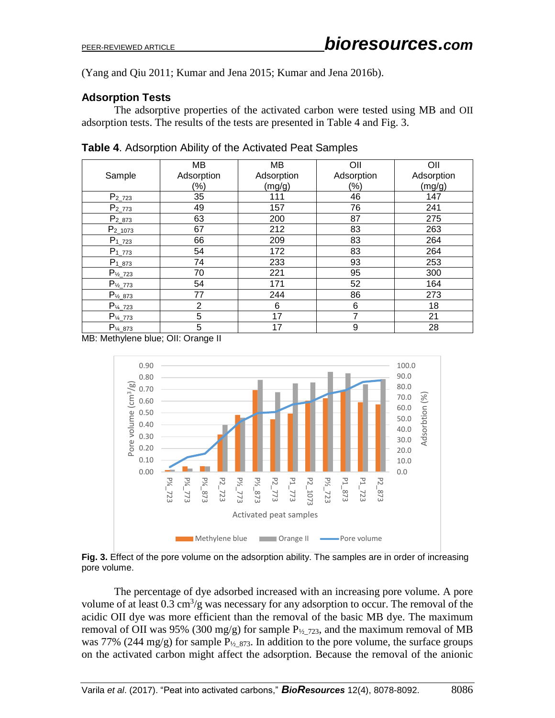(Yang and Qiu 2011; Kumar and Jena 2015; Kumar and Jena 2016b).

# **Adsorption Tests**

The adsorptive properties of the activated carbon were tested using MB and OII adsorption tests. The results of the tests are presented in Table 4 and Fig. 3.

|                       | MB             | MВ         | OII        | OII        |
|-----------------------|----------------|------------|------------|------------|
| Sample                | Adsorption     | Adsorption | Adsorption | Adsorption |
|                       | $(\% )$        | (mg/g)     | (%)        | (mg/g)     |
| $P_{2723}$            | 35             | 111        | 46         | 147        |
| $P_{2773}$            | 49             | 157        | 76         | 241        |
| $P_{2_873}$           | 63             | 200        | 87         | 275        |
| $P_{2_1073}$          | 67             | 212        | 83         | 263        |
| $P_{1_723}$           | 66             | 209        | 83         | 264        |
| $P_{1_773}$           | 54             | 172        | 83         | 264        |
| $P_{1_873}$           | 74             | 233        | 93         | 253        |
| $P_{\frac{1}{2}723}$  | 70             | 221        | 95         | 300        |
| $P_{\frac{1}{2}773}$  | 54             | 171        | 52         | 164        |
| $P_{\frac{1}{2}}$ 873 | 77             | 244        | 86         | 273        |
| $P_{\frac{1}{4}723}$  | $\overline{2}$ | 6          | 6          | 18         |
| $P_{\frac{V_4}{773}}$ | 5              | 17         | 7          | 21         |
| $P_{\frac{1}{4}}$ 873 | 5              | 17         | 9          | 28         |

**Table 4**. Adsorption Ability of the Activated Peat Samples

MB: Methylene blue; OII: Orange II



**Fig. 3.** Effect of the pore volume on the adsorption ability. The samples are in order of increasing pore volume.

The percentage of dye adsorbed increased with an increasing pore volume. A pore volume of at least  $0.3 \text{ cm}^3/\text{g}$  was necessary for any adsorption to occur. The removal of the acidic OII dye was more efficient than the removal of the basic MB dye. The maximum removal of OII was 95% (300 mg/g) for sample  $P_{\frac{1}{2}}$   $\gamma$  and the maximum removal of MB was 77% (244 mg/g) for sample  $P_{1/2}$   $_{873}$ . In addition to the pore volume, the surface groups on the activated carbon might affect the adsorption. Because the removal of the anionic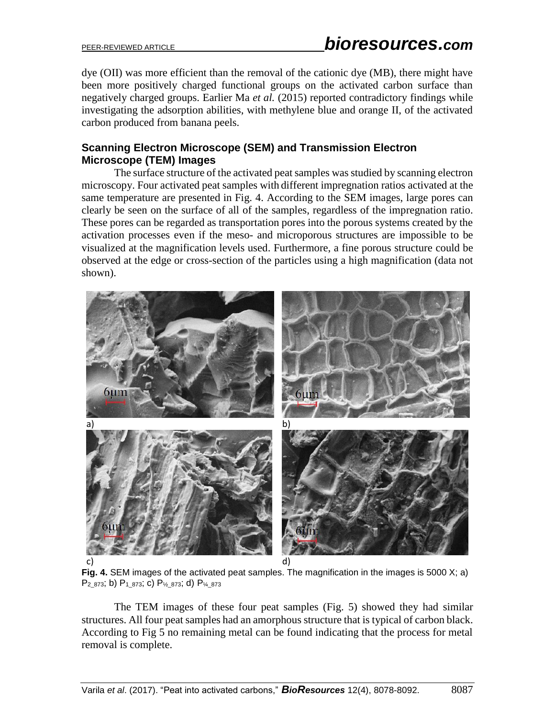dye (OII) was more efficient than the removal of the cationic dye (MB), there might have been more positively charged functional groups on the activated carbon surface than negatively charged groups. Earlier Ma *et al.* (2015) reported contradictory findings while investigating the adsorption abilities, with methylene blue and orange II, of the activated carbon produced from banana peels.

# **Scanning Electron Microscope (SEM) and Transmission Electron Microscope (TEM) Images**

The surface structure of the activated peat samples was studied by scanning electron microscopy. Four activated peat samples with different impregnation ratios activated at the same temperature are presented in Fig. 4. According to the SEM images, large pores can clearly be seen on the surface of all of the samples, regardless of the impregnation ratio. These pores can be regarded as transportation pores into the porous systems created by the activation processes even if the meso- and microporous structures are impossible to be visualized at the magnification levels used. Furthermore, a fine porous structure could be observed at the edge or cross-section of the particles using a high magnification (data not shown).



**Fig. 4.** SEM images of the activated peat samples. The magnification in the images is 5000 X; a)  $P_{2_873}$ ; b)  $P_{1_873}$ ; c)  $P_{\frac{1}{6}873}$ ; d)  $P_{\frac{1}{4_873}}$ 

The TEM images of these four peat samples (Fig. 5) showed they had similar structures. All four peat samples had an amorphous structure that is typical of carbon black. According to Fig 5 no remaining metal can be found indicating that the process for metal removal is complete.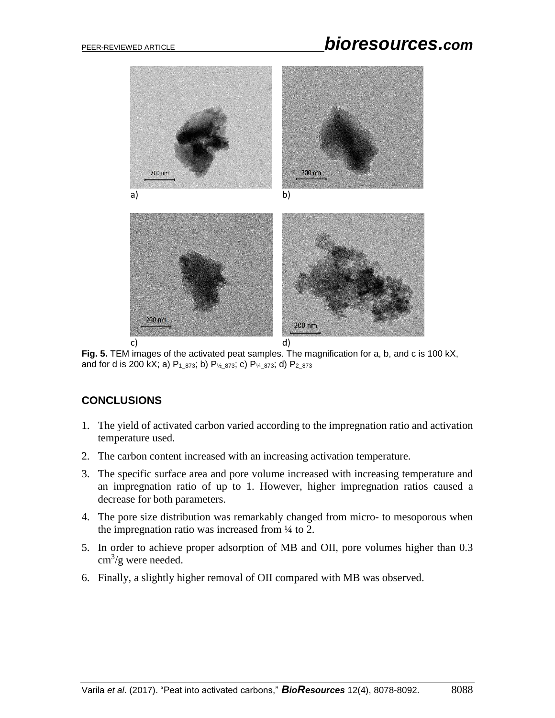

**Fig. 5.** TEM images of the activated peat samples. The magnification for a, b, and c is 100 kX, and for d is 200 kX; a)  $P_{1_873}$ ; b)  $P_{1_873}$ ; c)  $P_{1_873}$ ; d)  $P_{2_873}$ 

# **CONCLUSIONS**

- 1. The yield of activated carbon varied according to the impregnation ratio and activation temperature used.
- 2. The carbon content increased with an increasing activation temperature.
- 3. The specific surface area and pore volume increased with increasing temperature and an impregnation ratio of up to 1. However, higher impregnation ratios caused a decrease for both parameters.
- 4. The pore size distribution was remarkably changed from micro- to mesoporous when the impregnation ratio was increased from ¼ to 2.
- 5. In order to achieve proper adsorption of MB and OII, pore volumes higher than 0.3  $\text{cm}^3/\text{g}$  were needed.
- 6. Finally, a slightly higher removal of OII compared with MB was observed.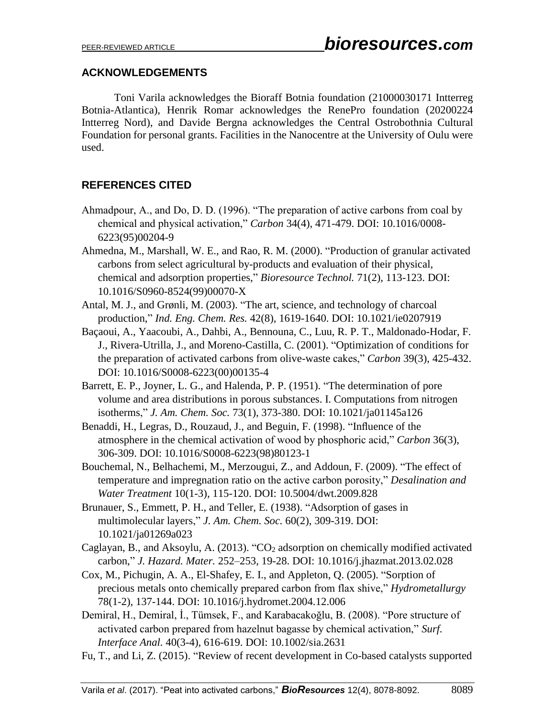# **ACKNOWLEDGEMENTS**

Toni Varila acknowledges the Bioraff Botnia foundation (21000030171 Intterreg Botnia-Atlantica), Henrik Romar acknowledges the RenePro foundation (20200224 Intterreg Nord), and Davide Bergna acknowledges the Central Ostrobothnia Cultural Foundation for personal grants. Facilities in the Nanocentre at the University of Oulu were used.

# **REFERENCES CITED**

- Ahmadpour, A., and Do, D. D. (1996). "The preparation of active carbons from coal by chemical and physical activation," *Carbon* 34(4), 471-479. DOI: 10.1016/0008- 6223(95)00204-9
- Ahmedna, M., Marshall, W. E., and Rao, R. M. (2000). "Production of granular activated carbons from select agricultural by-products and evaluation of their physical, chemical and adsorption properties," *Bioresource Technol.* 71(2), 113-123. DOI: 10.1016/S0960-8524(99)00070-X
- Antal, M. J., and Grønli, M. (2003). "The art, science, and technology of charcoal production," *Ind. Eng. Chem. Res.* 42(8), 1619-1640. DOI: 10.1021/ie0207919
- Baçaoui, A., Yaacoubi, A., Dahbi, A., Bennouna, C., Luu, R. P. T., Maldonado-Hodar, F. J., Rivera-Utrilla, J., and Moreno-Castilla, C. (2001). "Optimization of conditions for the preparation of activated carbons from olive-waste cakes," *Carbon* 39(3), 425-432. DOI: 10.1016/S0008-6223(00)00135-4
- Barrett, E. P., Joyner, L. G., and Halenda, P. P. (1951). "The determination of pore volume and area distributions in porous substances. I. Computations from nitrogen isotherms," *J. Am. Chem. Soc.* 73(1), 373-380. DOI: 10.1021/ja01145a126
- Benaddi, H., Legras, D., Rouzaud, J., and Beguin, F. (1998). "Influence of the atmosphere in the chemical activation of wood by phosphoric acid," *Carbon* 36(3), 306-309. DOI: 10.1016/S0008-6223(98)80123-1
- Bouchemal, N., Belhachemi, M., Merzougui, Z., and Addoun, F. (2009). "The effect of temperature and impregnation ratio on the active carbon porosity," *Desalination and Water Treatment* 10(1-3), 115-120. DOI: 10.5004/dwt.2009.828
- Brunauer, S., Emmett, P. H., and Teller, E. (1938). "Adsorption of gases in multimolecular layers," *J. Am. Chem. Soc.* 60(2), 309-319. DOI: 10.1021/ja01269a023
- Caglayan, B., and Aksoylu, A. (2013). "CO<sub>2</sub> adsorption on chemically modified activated carbon," *J. Hazard. Mater.* 252–253, 19-28. DOI: 10.1016/j.jhazmat.2013.02.028
- Cox, M., Pichugin, A. A., El-Shafey, E. I., and Appleton, Q. (2005). "Sorption of precious metals onto chemically prepared carbon from flax shive," *Hydrometallurgy* 78(1-2), 137-144. DOI: 10.1016/j.hydromet.2004.12.006
- Demiral, H., Demiral, İ., Tümsek, F., and Karabacakoğlu, B. (2008). "Pore structure of activated carbon prepared from hazelnut bagasse by chemical activation," *Surf. Interface Anal.* 40(3-4), 616-619. DOI: 10.1002/sia.2631
- Fu, T., and Li, Z. (2015). "Review of recent development in Co-based catalysts supported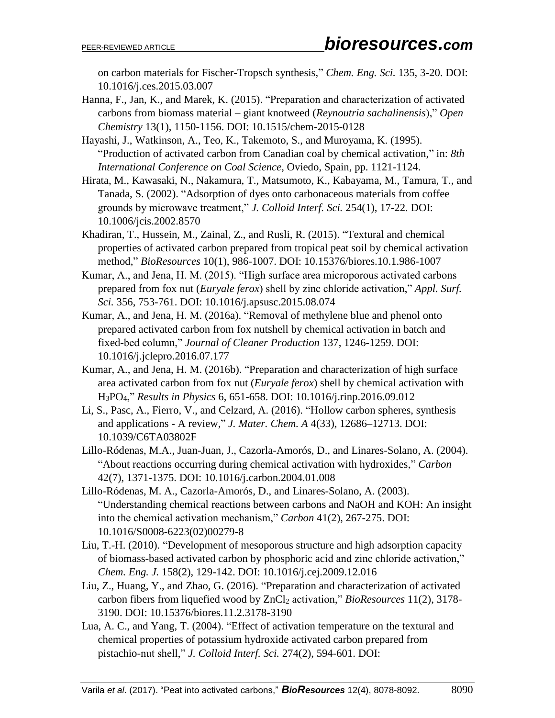on carbon materials for Fischer-Tropsch synthesis," *Chem. Eng. Sci.* 135, 3-20. DOI: 10.1016/j.ces.2015.03.007

- Hanna, F., Jan, K., and Marek, K. (2015). "Preparation and characterization of activated carbons from biomass material – giant knotweed (*Reynoutria sachalinensis*)," *Open Chemistry* 13(1), 1150-1156. DOI: 10.1515/chem-2015-0128
- Hayashi, J., Watkinson, A., Teo, K., Takemoto, S., and Muroyama, K. (1995). "Production of activated carbon from Canadian coal by chemical activation," in: *8th International Conference on Coal Science*, Oviedo, Spain, pp. 1121-1124.
- Hirata, M., Kawasaki, N., Nakamura, T., Matsumoto, K., Kabayama, M., Tamura, T., and Tanada, S. (2002). "Adsorption of dyes onto carbonaceous materials from coffee grounds by microwave treatment," *J. Colloid Interf. Sci.* 254(1), 17-22. DOI: 10.1006/jcis.2002.8570
- Khadiran, T., Hussein, M., Zainal, Z., and Rusli, R. (2015). "Textural and chemical properties of activated carbon prepared from tropical peat soil by chemical activation method," *BioResources* 10(1), 986-1007. DOI: 10.15376/biores.10.1.986-1007
- Kumar, A., and Jena, H. M. (2015). "High surface area microporous activated carbons prepared from fox nut (*Euryale ferox*) shell by zinc chloride activation," *Appl. Surf. Sci.* 356, 753-761. DOI: 10.1016/j.apsusc.2015.08.074
- Kumar, A., and Jena, H. M. (2016a). "Removal of methylene blue and phenol onto prepared activated carbon from fox nutshell by chemical activation in batch and fixed-bed column," *Journal of Cleaner Production* 137, 1246-1259. DOI: 10.1016/j.jclepro.2016.07.177
- Kumar, A., and Jena, H. M. (2016b). "Preparation and characterization of high surface area activated carbon from fox nut (*Euryale ferox*) shell by chemical activation with H3PO4," *Results in Physics* 6, 651-658. DOI: 10.1016/j.rinp.2016.09.012
- Li, S., Pasc, A., Fierro, V., and Celzard, A. (2016). "Hollow carbon spheres, synthesis and applications - A review," *J. Mater. Chem. A* 4(33), 12686–12713. DOI: 10.1039/C6TA03802F
- Lillo-Ródenas, M.A., Juan-Juan, J., Cazorla-Amorós, D., and Linares-Solano, A. (2004). "About reactions occurring during chemical activation with hydroxides," *Carbon* 42(7), 1371-1375. DOI: 10.1016/j.carbon.2004.01.008
- Lillo-Ródenas, M. A., Cazorla-Amorós, D., and Linares-Solano, A. (2003). "Understanding chemical reactions between carbons and NaOH and KOH: An insight into the chemical activation mechanism," *Carbon* 41(2), 267-275. DOI: 10.1016/S0008-6223(02)00279-8
- Liu, T.-H. (2010). "Development of mesoporous structure and high adsorption capacity of biomass-based activated carbon by phosphoric acid and zinc chloride activation," *Chem. Eng. J.* 158(2), 129-142. DOI: 10.1016/j.cej.2009.12.016
- Liu, Z., Huang, Y., and Zhao, G. (2016). "Preparation and characterization of activated carbon fibers from liquefied wood by ZnCl<sub>2</sub> activation," *BioResources* 11(2), 3178-3190. DOI: 10.15376/biores.11.2.3178-3190
- Lua, A. C., and Yang, T. (2004). "Effect of activation temperature on the textural and chemical properties of potassium hydroxide activated carbon prepared from pistachio-nut shell," *J. Colloid Interf. Sci.* 274(2), 594-601. DOI: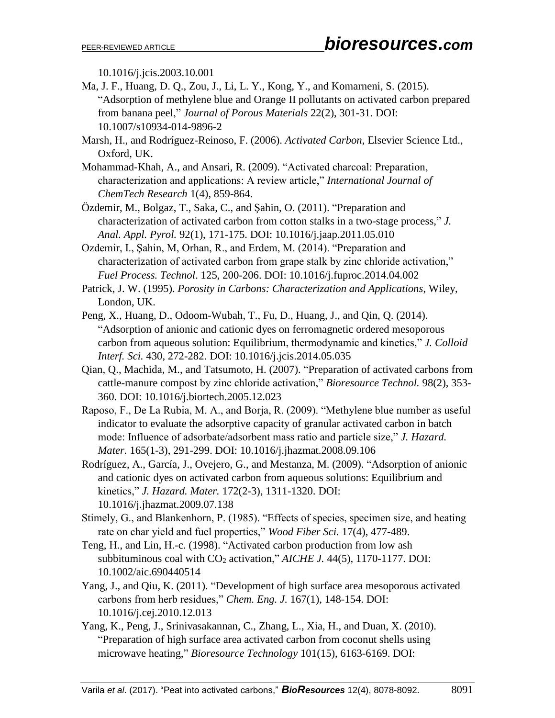10.1016/j.jcis.2003.10.001

Ma, J. F., Huang, D. Q., Zou, J., Li, L. Y., Kong, Y., and Komarneni, S. (2015). "Adsorption of methylene blue and Orange II pollutants on activated carbon prepared from banana peel," *Journal of Porous Materials* 22(2), 301-31. DOI: 10.1007/s10934-014-9896-2

Marsh, H., and Rodríguez-Reinoso, F. (2006). *Activated Carbon*, Elsevier Science Ltd., Oxford, UK.

- Mohammad-Khah, A., and Ansari, R. (2009). "Activated charcoal: Preparation, characterization and applications: A review article," *International Journal of ChemTech Research* 1(4), 859-864.
- Özdemir, M., Bolgaz, T., Saka, C., and Şahin, O. (2011). "Preparation and characterization of activated carbon from cotton stalks in a two-stage process," *J. Anal. Appl. Pyrol.* 92(1), 171-175. DOI: 10.1016/j.jaap.2011.05.010
- Ozdemir, I., Şahin, M, Orhan, R., and Erdem, M. (2014). "Preparation and characterization of activated carbon from grape stalk by zinc chloride activation," *Fuel Process. Technol*. 125, 200-206. DOI: 10.1016/j.fuproc.2014.04.002
- Patrick, J. W. (1995). *Porosity in Carbons: Characterization and Applications*, Wiley, London, UK.
- Peng, X., Huang, D., Odoom-Wubah, T., Fu, D., Huang, J., and Qin, Q. (2014). "Adsorption of anionic and cationic dyes on ferromagnetic ordered mesoporous carbon from aqueous solution: Equilibrium, thermodynamic and kinetics," *J. Colloid Interf. Sci.* 430, 272-282. DOI: 10.1016/j.jcis.2014.05.035
- Qian, Q., Machida, M., and Tatsumoto, H. (2007). "Preparation of activated carbons from cattle-manure compost by zinc chloride activation," *Bioresource Technol.* 98(2), 353- 360. DOI: 10.1016/j.biortech.2005.12.023
- Raposo, F., De La Rubia, M. A., and Borja, R. (2009). "Methylene blue number as useful indicator to evaluate the adsorptive capacity of granular activated carbon in batch mode: Influence of adsorbate/adsorbent mass ratio and particle size," *J. Hazard. Mater.* 165(1-3), 291-299. DOI: 10.1016/j.jhazmat.2008.09.106
- Rodríguez, A., García, J., Ovejero, G., and Mestanza, M. (2009). "Adsorption of anionic and cationic dyes on activated carbon from aqueous solutions: Equilibrium and kinetics," *J. Hazard. Mater.* 172(2-3), 1311-1320. DOI: 10.1016/j.jhazmat.2009.07.138
- Stimely, G., and Blankenhorn, P. (1985). "Effects of species, specimen size, and heating rate on char yield and fuel properties," *Wood Fiber Sci.* 17(4), 477-489.
- Teng, H., and Lin, H.-c. (1998). "Activated carbon production from low ash subbituminous coal with  $CO<sub>2</sub>$  activation," *AICHE J.* 44(5), 1170-1177. DOI: 10.1002/aic.690440514
- Yang, J., and Qiu, K. (2011). "Development of high surface area mesoporous activated carbons from herb residues," *Chem. Eng. J.* 167(1), 148-154. DOI: 10.1016/j.cej.2010.12.013
- Yang, K., Peng, J., Srinivasakannan, C., Zhang, L., Xia, H., and Duan, X. (2010). "Preparation of high surface area activated carbon from coconut shells using microwave heating," *Bioresource Technology* 101(15), 6163-6169. DOI: